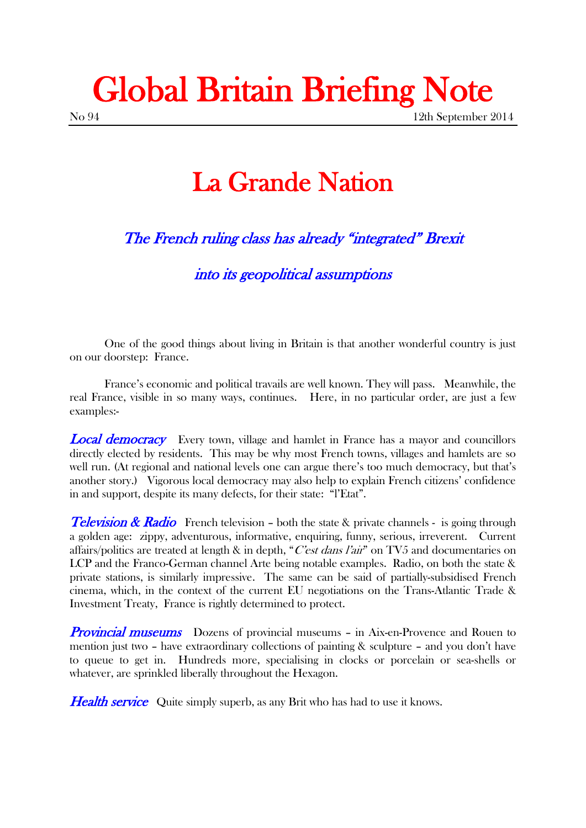# Global Britain Briefing Note

No 94 12th September 2014

### La Grande Nation

#### The French ruling class has already "integrated" Brexit

into its geopolitical assumptions

One of the good things about living in Britain is that another wonderful country is just on our doorstep: France.

France's economic and political travails are well known. They will pass. Meanwhile, the real France, visible in so many ways, continues. Here, in no particular order, are just a few examples:-

**Local democracy** Every town, village and hamlet in France has a mayor and councillors directly elected by residents. This may be why most French towns, villages and hamlets are so well run. (At regional and national levels one can argue there's too much democracy, but that's another story.) Vigorous local democracy may also help to explain French citizens' confidence in and support, despite its many defects, for their state: "l'Etat".

**Television & Radio** French television – both the state & private channels - is going through a golden age: zippy, adventurous, informative, enquiring, funny, serious, irreverent. Current affairs/politics are treated at length & in depth, "C'est dans l'air" on TV5 and documentaries on LCP and the Franco-German channel Arte being notable examples. Radio, on both the state & private stations, is similarly impressive. The same can be said of partially-subsidised French cinema, which, in the context of the current EU negotiations on the Trans-Atlantic Trade & Investment Treaty, France is rightly determined to protect.

**Provincial museums** Dozens of provincial museums - in Aix-en-Provence and Rouen to mention just two – have extraordinary collections of painting & sculpture – and you don't have to queue to get in. Hundreds more, specialising in clocks or porcelain or sea-shells or whatever, are sprinkled liberally throughout the Hexagon.

**Health service** Quite simply superb, as any Brit who has had to use it knows.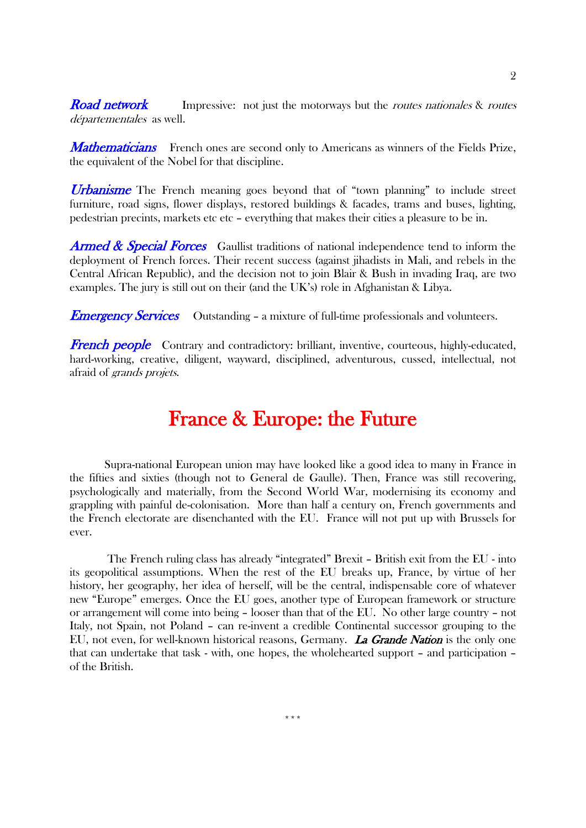**Road network** Impressive: not just the motorways but the *routes nationales* & *routes* départementales as well.

**Mathematicians** French ones are second only to Americans as winners of the Fields Prize, the equivalent of the Nobel for that discipline.

**Urbanisme** The French meaning goes beyond that of "town planning" to include street furniture, road signs, flower displays, restored buildings & facades, trams and buses, lighting, pedestrian precints, markets etc etc – everything that makes their cities a pleasure to be in.

**Armed & Special Forces** Gaullist traditions of national independence tend to inform the deployment of French forces. Their recent success (against jihadists in Mali, and rebels in the Central African Republic), and the decision not to join Blair & Bush in invading Iraq, are two examples. The jury is still out on their (and the UK's) role in Afghanistan & Libya.

**Emergency Services** Outstanding - a mixture of full-time professionals and volunteers.

French people Contrary and contradictory: brilliant, inventive, courteous, highly-educated, hard-working, creative, diligent, wayward, disciplined, adventurous, cussed, intellectual, not afraid of grands projets.

#### France & Europe: the Future

Supra-national European union may have looked like a good idea to many in France in the fifties and sixties (though not to General de Gaulle). Then, France was still recovering, psychologically and materially, from the Second World War, modernising its economy and grappling with painful de-colonisation. More than half a century on, French governments and the French electorate are disenchanted with the EU. France will not put up with Brussels for ever.

The French ruling class has already "integrated" Brexit – British exit from the EU - into its geopolitical assumptions. When the rest of the EU breaks up, France, by virtue of her history, her geography, her idea of herself, will be the central, indispensable core of whatever new "Europe" emerges. Once the EU goes, another type of European framework or structure or arrangement will come into being – looser than that of the EU. No other large country – not Italy, not Spain, not Poland – can re-invent a credible Continental successor grouping to the EU, not even, for well-known historical reasons, Germany. La Grande Nation is the only one that can undertake that task - with, one hopes, the wholehearted support – and participation – of the British.